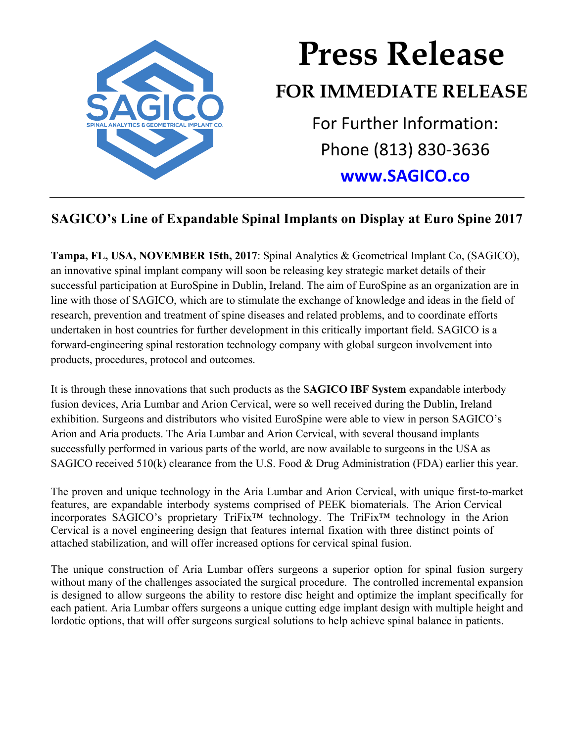

## **Press Release FOR IMMEDIATE RELEASE** For Further Information: Phone (813) 830-3636

## **www.SAGICO.co**

## **SAGICO's Line of Expandable Spinal Implants on Display at Euro Spine 2017**

**Tampa, FL, USA, NOVEMBER 15th, 2017**: Spinal Analytics & Geometrical Implant Co, (SAGICO), an innovative spinal implant company will soon be releasing key strategic market details of their successful participation at EuroSpine in Dublin, Ireland. The aim of EuroSpine as an organization are in line with those of SAGICO, which are to stimulate the exchange of knowledge and ideas in the field of research, prevention and treatment of spine diseases and related problems, and to coordinate efforts undertaken in host countries for further development in this critically important field. SAGICO is a forward-engineering spinal restoration technology company with global surgeon involvement into products, procedures, protocol and outcomes.

It is through these innovations that such products as the S**AGICO IBF System** expandable interbody fusion devices, Aria Lumbar and Arion Cervical, were so well received during the Dublin, Ireland exhibition. Surgeons and distributors who visited EuroSpine were able to view in person SAGICO's Arion and Aria products. The Aria Lumbar and Arion Cervical, with several thousand implants successfully performed in various parts of the world, are now available to surgeons in the USA as SAGICO received 510(k) clearance from the U.S. Food & Drug Administration (FDA) earlier this year.

The proven and unique technology in the Aria Lumbar and Arion Cervical, with unique first-to-market features, are expandable interbody systems comprised of PEEK biomaterials. The Arion Cervical incorporates SAGICO's proprietary TriFix™ technology. The TriFix™ technology in the Arion Cervical is a novel engineering design that features internal fixation with three distinct points of attached stabilization, and will offer increased options for cervical spinal fusion.

The unique construction of Aria Lumbar offers surgeons a superior option for spinal fusion surgery without many of the challenges associated the surgical procedure. The controlled incremental expansion is designed to allow surgeons the ability to restore disc height and optimize the implant specifically for each patient. Aria Lumbar offers surgeons a unique cutting edge implant design with multiple height and lordotic options, that will offer surgeons surgical solutions to help achieve spinal balance in patients.